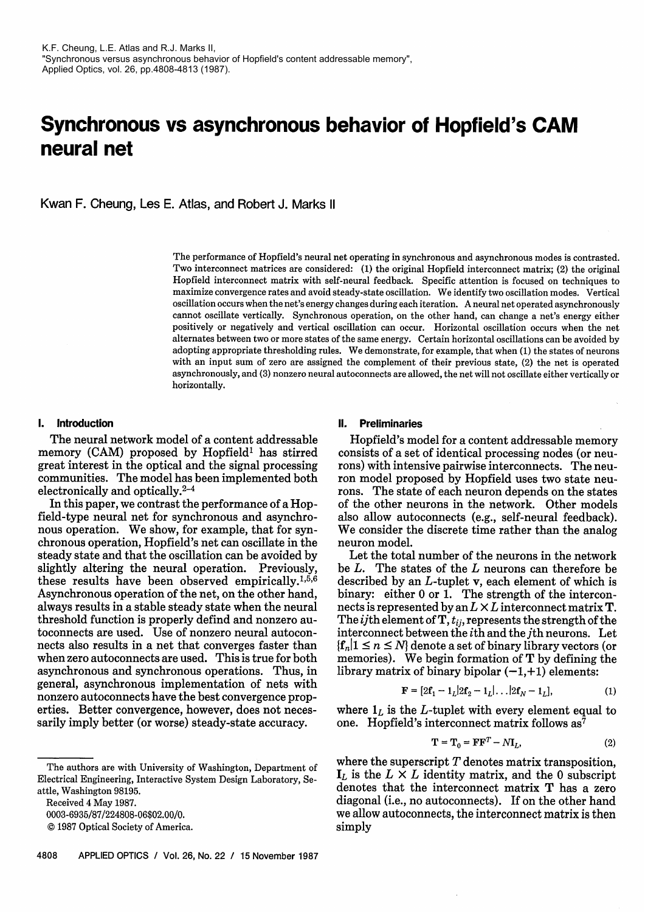# **Synchronous vs asynchronous behavior of Hopfield's CAM neural net**

Kwan F. Cheung, Les E. Atlas, and Robert J. Marks II

The performance of Hopfield's neural net operating in synchronous and asynchronous modes is contrasted. Two interconnect matrices are considered: (I) the original Hopfield interconnect matrix; (2) the original Hopfield interconnect matrix with self-neural feedback. Specific attention is focused on techniques to maximize convergence rates and avoid steady-state oscillation. We identify two oscillation modes. Vertical oscillation occurs when the net's energy changes during each iteration. A neural net operated asynchronously cannot oscillate vertically. Synchronous operation, on the other hand, can change a net's energy either positively or negatively and vertical oscillation can occur. Horizontal oscillation occurs when the net alternates between two or more states of the same energy. Certain horizontal oscillations can be avoided by adopting appropriate thresholding rules. We demonstrate, for example, that when (1) the states of neurons with an input sum of zero are assigned the complement of their previous state, (2) the net is operated asynchronously, and (3) nonzero neural autoconnects are allowed, the net will not oscillate either vertically or horizontally.

# **I. Introduction**

The neural network model of a content addressable memory  $(CAM)$  proposed by Hopfield<sup>1</sup> has stirred great interest in the optical and the signal processing communities. The model has been implemented both electronically and optically. $2-4$ 

In this paper, we contrast the performance of a Hopfield-type neural net for synchronous and asynchronous operation. We show, for example, that for synchronous operation, Hopfield's net can oscillate in the steady state and that the oscillation can be avoided by slightly altering the neural operation. Previously, these results have been observed empirically.<sup>1,5,6</sup> Asynchronous operation of the net, on the other hand, always results in a stable steady state when the neural threshold function is properly defind and nonzero autoconnects are used. Use of nonzero neural autoconnects also results in a net that converges faster than when zero autoconnects are used. This is true for both asynchronous and synchronous operations. Thus, in general, asynchronous implementation of nets with nonzero autoconnects have the best convergence properties. Better convergence, however, does not necessarily imply better (or worse) steady-state accuracy.

Received **4** May 1987.

# **II. Preliminaries**

Hopfield's model for a content addressable memory consists of a set of identical processing nodes (or neurons) with intensive pairwise interconnects. The neuron model proposed by Hopfield uses two state neurons. The state of each neuron depends on the states of the other neurons in the network. Other models also allow autoconnects (e.g., self-neural feedback). We consider the discrete time rather than the analog neuron model.

Let the total number of the neurons in the network be  $L$ . The states of the  $L$  neurons can therefore be described by an L-tuplet v, each element of which is binary: either 0 or 1. The strength of the interconnects is represented by an  $L \times L$  interconnect matrix **T**. The *ij*th element of **T**,  $t_{ij}$ , represents the strength of the interconnect between the *i*th and the *j*th neurons. Let  $\{f_n | 1 \le n \le N\}$  denote a set of binary library vectors (or memories). We hegin formation of **T** interconnect between the *i*th and the *j*th neurons. Let  $\{f_n | 1 \le n \le N\}$  denote a set of binary library vectors (or memories). We begin formation of  $T$  by defining the library matrix of binary bipolar  $(-1, +1)$  elements:

$$
\mathbf{F} = [2\mathbf{f}_1 - \mathbf{1}_L | 2\mathbf{f}_2 - \mathbf{1}_L | \dots | 2\mathbf{f}_N - \mathbf{1}_L],
$$
 (1)

where  $\mathbf{1}_L$  is the L-tuplet with every element equal to one. Hopfield's interconnect matrix follows as<sup>7</sup>

$$
\mathbf{T} = \mathbf{T}_0 = \mathbf{F}\mathbf{F}^T - N\mathbf{I}_L,\tag{2}
$$

where the superscript  $T$  denotes matrix transposition,  $\mathbf{I}_L$  is the  $L \times L$  identity matrix, and the 0 subscript denotes that the interconnect matrix T has a zero diagonal (i.e., no autoconnects). If on the other hand we allow autoconnects, the interconnect matrix is then simply

The authors are with University of Washington, Department of Electrical Engineering, Interactive System Design Laboratory, Seattle, Washington 98195.

<sup>0003-6935/87/224808-06\$02.00/0.</sup> 

O 1987 Optical Society of America.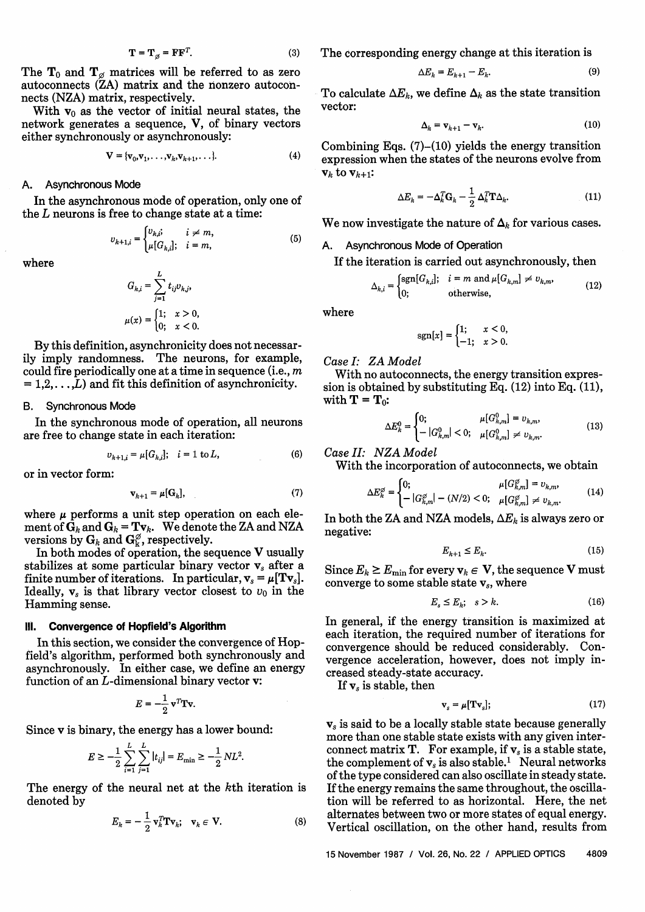$$
\mathbf{\Gamma} = \mathbf{T}_{\alpha} = \mathbf{F} \mathbf{F}^T. \tag{3}
$$

The  $T_0$  and  $T_\alpha$  matrices will be referred to as zero autoconnects (ZA) matrix and the nonzero autoconnects (NZA) matrix, respectively.

With  $v_0$  as the vector of initial neural states, the network generates a sequence, V, of binary vectors either synchronously or asynchronously:

$$
\mathbf{V} = {\mathbf{v}_0, \mathbf{v}_1, \dots, \mathbf{v}_k, \mathbf{v}_{k+1}, \dots}.
$$
 (4)

#### A. Asynchronous Mode

In the asynchronous mode of operation, only one of the L neurons is free to change state at a time:

$$
v_{k+1,i} = \begin{cases} v_{k,i}; & i \neq m, \\ \mu[G_{k,i}]; & i = m, \end{cases}
$$
 (5)

where

$$
G_{k,i} = \sum_{j=1}^{L} t_{ij} v_{k,j},
$$
  

$$
\mu(x) = \begin{cases} 1; & x > 0, \\ 0; & x < 0. \end{cases}
$$

By this definition, asynchronicity does not necessarily imply randomness. The neurons, for example, could fire periodically one at a time in sequence (i.e.,  $m$  $i = 1, 2, \ldots, L$  and fit this definition of asynchronicity.

## B. Synchronous Mode

In the synchronous mode of operation, all neurons are free to change state in each iteration:

$$
v_{k+1,i} = \mu[G_{k,i}]; \quad i = 1 \text{ to } L,\tag{6}
$$

or in vector form:

$$
\mathbf{v}_{k+1} = \mu[\mathbf{G}_k],\tag{7}
$$

where  $\mu$  performs a unit step operation on each element of  $G_k$  and  $G_k = Tv_k$ . We denote the ZA and NZA versions by  $G_k$  and  $G_k^\emptyset$ , respectively.

In both modes of operation, the sequence V usually stabilizes at some particular binary vector  $v_s$  after a finite number of iterations. In particular,  $v_s = \mu[Tv_s]$ . Ideally,  $v_s$  is that library vector closest to  $v_0$  in the Hamming sense.

#### **Ill. Convergence of Hopfield's Algorithm**

In this section, we consider the convergence of Hopfield's algorithm, performed both synchronously and asynchronously. In either case, we define an energy function of an L-dimensional binary vector v:

$$
E = -\frac{1}{2} \mathbf{v}^T \mathbf{Tv}.
$$

Since v is binary, the energy has a lower bound:

$$
E \ge -\frac{1}{2} \sum_{i=1}^{L} \sum_{j=1}^{L} |t_{ij}| = E_{\min} \ge -\frac{1}{2} NL^2.
$$

The energy of the neural net at the kth iteration is denoted by

$$
E_k = -\frac{1}{2} \mathbf{v}_k^T \mathbf{T} \mathbf{v}_k; \quad \mathbf{v}_k \in \mathbf{V}.
$$
 (8)

The corresponding energy change at this iteration is

$$
\Delta E_k = E_{k+1} - E_k. \tag{9}
$$

To calculate  $\Delta E_k$ , we define  $\Delta_k$  as the state transition vector:

$$
\Delta_k = \mathbf{v}_{k+1} - \mathbf{v}_k. \tag{10}
$$

Combining Eqs.  $(7)-(10)$  yields the energy transition expression when the states of the neurons evolve from  $\mathbf{v}_k$  to  $\mathbf{v}_{k+1}$ :

$$
\Delta E_k = -\Delta_k^T \mathbf{G}_k - \frac{1}{2} \Delta_k^T \mathbf{T} \Delta_k. \tag{11}
$$

We now investigate the nature of  $\Delta_k$  for various cases.

# A. Asynchronous Mode of Operation

If the iteration is carried out asynchronously, then

$$
\Delta_{k,i} = \begin{cases} \text{sgn}[G_{k,i}], & i = m \text{ and } \mu[G_{k,m}] \neq v_{k,m}, \\ 0; & \text{otherwise}, \end{cases} \tag{12}
$$

where

$$
sgn[x] = \begin{cases} 1; & x < 0, \\ -1; & x > 0. \end{cases}
$$

*Case I:* **ZA** *Model* 

With no autoconnects, the energy transition expression is obtained by substituting Eq.  $(12)$  into Eq.  $(11)$ , with  $\mathbf{T} = \mathbf{T}_0$ :

$$
\Delta E_k^0 = \begin{cases} 0; & \mu[G_{k,m}^0] = v_{k,m}, \\ -|G_{k,m}^0| < 0; \quad \mu[G_{k,m}^0] \neq v_{k,m}. \end{cases} \tag{13}
$$

*Case 11:* **NZA** *Model* 

With the incorporation of autoconnects, we obtain

$$
\Delta E_k^{\varnothing} = \begin{cases} 0; & \mu[G_{k,m}^{\varnothing}] = v_{k,m}, \\ -|G_{k,m}^{\varnothing}| - (N/2) < 0; \quad \mu[G_{k,m}^{\varnothing}] \neq v_{k,m}. \end{cases} \tag{14}
$$

In both the ZA and NZA models,  $\Delta E_k$  is always zero or negative:

$$
E_{k+1} \le E_k. \tag{15}
$$

Since  $E_k \ge E_{\min}$  for every  $v_k \in V$ , the sequence V must converge to some stable state  $v_s$ , where

$$
E_s \le E_k; \quad s > k. \tag{16}
$$

In general, if the energy transition is maximized at each iteration, the required number of iterations for convergence should be reduced considerably. Convergence acceleration, however, does not imply increased steady-state accuracy.

If v, is stable, then

$$
\mathbf{v}_s = \mu[\mathbf{T}\mathbf{v}_s];\tag{17}
$$

v, is said to be a locally stable state because generally more than one stable state exists with any given interconnect matrix  $T$ . For example, if  $v_s$  is a stable state, the complement of  $v_s$  is also stable.<sup>1</sup> Neural networks of the type considered can also oscillate in steady state. If the energy remains the same throughout, the oscillation will be referred to as horizontal. Here, the net alternates between two or more states of equal energy. Vertical oscillation, on the other hand, results from

15 November 1987 / Vol. 26, No. 22 **1** APPLIED **OPTICS** 4809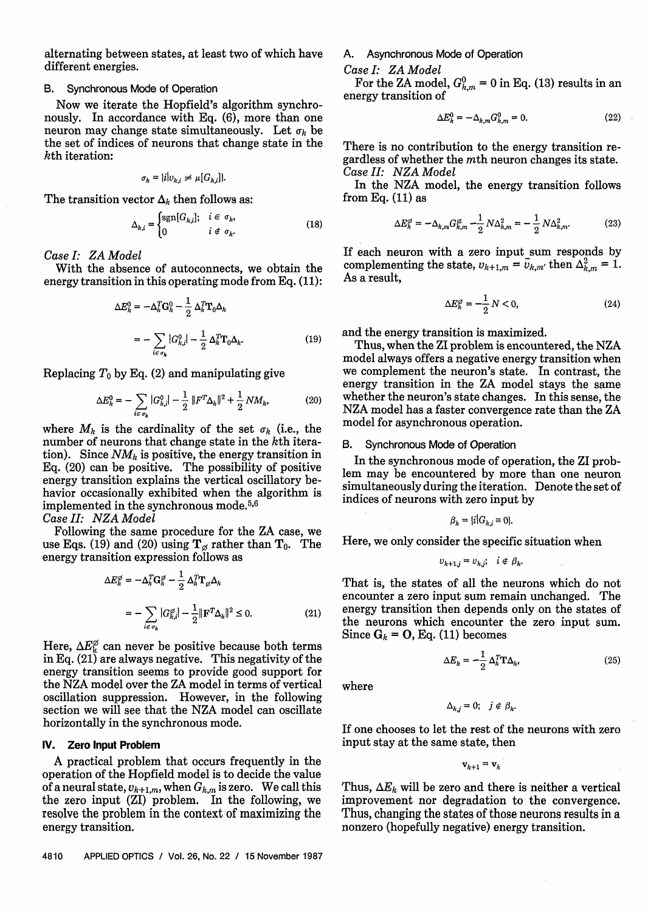alternating between states, at least two of which have different energies.

# **6.** Synchronous Mode of Operation

Now we iterate the Hopfield's algorithm synchronously. In accordance with Eq. (6), more than one neuron may change state simultaneously. Let  $\sigma_b$  be the set of indices of neurons that change state in the kth iteration:

$$
\sigma_k = \{i|v_{k,i} \neq \mu[G_{k,i}]\}.
$$

The transition vector  $\Delta_k$  then follows as:

$$
\Delta_{k,i} = \begin{cases} \text{sgn}[G_{k,i}], & i \in \sigma_k, \\ 0 & i \notin \sigma_k. \end{cases}
$$
(18)

Case *I:* **ZA** Model

With the absence of autoconnects, we obtain the energy transition in this operating mode from Eq. (11):

$$
\Delta E_k^0 = -\Delta_k^T \mathbf{G}_k^0 - \frac{1}{2} \Delta_k^T \mathbf{T}_0 \Delta_k
$$

$$
= -\sum_{i \in \sigma_k} |G_{k,i}^0| - \frac{1}{2} \Delta_k^T \mathbf{T}_0 \Delta_k. \tag{19}
$$

Replacing  $T_0$  by Eq. (2) and manipulating give

$$
\Delta E_k^0 = -\sum_{i \in \sigma_k} |G_{k,i}^0| - \frac{1}{2} ||F^T \Delta_k||^2 + \frac{1}{2} NM_k, \tag{20}
$$

where  $M_k$  is the cardinality of the set  $\sigma_k$  (i.e., the number of neurons that change state in the kth iteration). Since  $NM_k$  is positive, the energy transition in Eq. (20) can be positive. The possibility of positive energy transition explains the vertical oscillatory behavior occasionally exhibited when the algorithm is implemented in the synchronous mode. $5,6$ 

Case *11:* **NZA** Model

Following the same procedure for the ZA case, we use Eqs. (19) and (20) using  $T_{\alpha}$  rather than  $T_0$ . The energy transition expression follows as

$$
\Delta E_k^{\varnothing} = -\Delta_k^T \mathbf{G}_k^{\varnothing} - \frac{1}{2} \Delta_k^T \mathbf{T}_{\varnothing} \Delta_k
$$
  
= 
$$
- \sum_{i \in \sigma_k} |G_{k,i}^{\varnothing}| - \frac{1}{2} \|\mathbf{F}^T \Delta_k\|^2 \le 0.
$$
 (21)

Here,  $\Delta E_k^{\varnothing}$  can never be positive because both terms in Eq. (21) are always negative. This negativity of the energy transition seems to provide good support for the NZA model over the ZA model in terms of vertical oscillation suppression. However, in the following section we will see that the NZA model can oscillate horizontally in the synchronous mode.

# **IV. Zero Input Problem**

A practical problem that occurs frequently in the operation of the Hopfield model is to decide the value of a neural state,  $v_{k+1,m}$ , when  $G_{k,m}$  is zero. We call this the zero input (ZI) problem. In the following, we resolve the problem in the context of maximizing the energy transition.

A. Asynchronous Mode of Operation

#### Case *I:* **ZA** Model

For the ZA model,  $G_{k,m}^0 = 0$  in Eq. (13) results in an energy transition of

$$
\Delta E_k^0 = -\Delta_{k,m} G_{k,m}^0 = 0. \tag{22}
$$

There is no contribution to the energy transition regardless of whether the mth neuron changes its state. Case *11:* **NZA** Model

In the NZA model, the energy transition follows from Eq.  $(11)$  as

$$
\Delta E_k^{\varnothing} = -\Delta_{k,m} G_{k,m}^{\varnothing} - \frac{1}{2} N \Delta_{k,m}^2 = -\frac{1}{2} N \Delta_{k,m}^2.
$$
 (23)

If each neuron with a zero input sum responds by complementing the state,  $v_{k+1,m} = \bar{v}_{k,m'}$  then  $\Delta^2_{k,m} = 1$ . As a result,

$$
\Delta E_k^{\varnothing} = -\frac{1}{2} N < 0,\tag{24}
$$

and the energy transition is maximized.

Thus, when the ZI problem is encountered, the NZA model always offers a negative energy transition when we complement the neuron's state. In contrast, the energy transition in the ZA model stays the same whether the neuron's state changes. In this sense, the NZA model has a faster convergence rate than the ZA model for asynchronous operation.

### **6.** Synchronous Mode of Operation

In the synchronous mode of operation, the ZI problem may be encountered by more than one neuron simultaneously during the iteration. Denote the set of indices of neurons with zero input by

$$
\beta_k = \{i | G_{k,i} \equiv 0\}.
$$

Here, we only consider the specific situation when

$$
v_{k+1,j} = v_{k,j}; \quad i \notin \beta_k.
$$

That is, the states of all the neurons which do not encounter a zero input sum remain unchanged. The energy transition then depends only on the states of the neurons which encounter the zero input sum. Since  $G_k = O$ , Eq. (11) becomes

$$
\Delta E_k = -\frac{1}{2} \Delta_k^T \mathbf{T} \Delta_k, \tag{25}
$$

where

$$
\Delta_{k,j} = 0; \quad j \notin \beta_k.
$$

If one chooses to let the rest of the neurons with zero input stay at the same state, then

 $\mathbf{v}_{k+1} = \mathbf{v}_k$ 

Thus,  $\Delta E_k$  will be zero and there is neither a vertical improvement nor degradation to the convergence. Thus, changing the states of those neurons results in a nonzero (hopefully negative) energy transition.

4810 APPLIED OPTICS / Vol. 26, No. 22 / 15 November 1987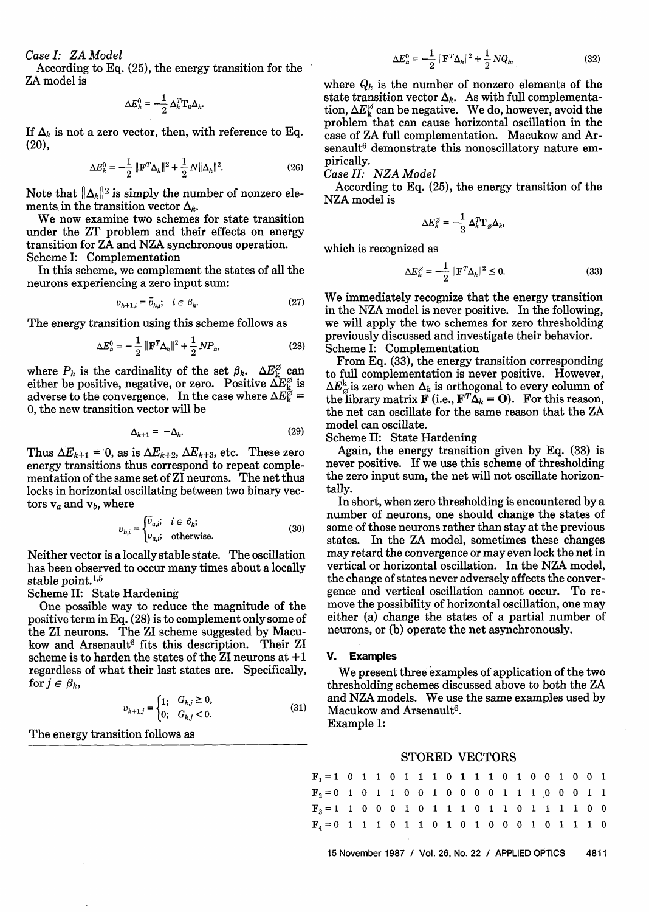*Case I:* ZA *Model* 

According to Eq. (25), the energy transition for the ' ZA model is

$$
\Delta E_k^0 = -\frac{1}{2} \, \Delta_k^T \mathbf{T}_0 \Delta_k.
$$

If  $\Delta_k$  is not a zero vector, then, with reference to Eq.  $(20)$ ,

$$
\Delta E_k^0 = -\frac{1}{2} \|\mathbf{F}^T \Delta_k\|^2 + \frac{1}{2} N \|\Delta_k\|^2.
$$
 (26)

Note that  $\|\Delta_k\|^2$  is simply the number of nonzero elements in the transition vector  $\Delta_k$ .

We now examine two schemes for state transition under the ZT problem and their effects on energy transition for ZA and NZA synchronous operation. Scheme I: Complementation

In this scheme, we complement the states of all the neurons experiencing a zero input sum:

$$
v_{k+1,i} = \bar{v}_{k,i}; \quad i \in \beta_k. \tag{27}
$$

The energy transition using this scheme follows as

$$
\Delta E_k^0 = -\frac{1}{2} \|\mathbf{F}^T \Delta_k\|^2 + \frac{1}{2} N P_k,\tag{28}
$$

where  $P_k$  is the cardinality of the set  $\beta_k$ .  $\Delta E_k^{\varnothing}$  can either be positive, negative, or zero. Positive  $\Delta E_{\text{k}}^{\varnothing}$  is adverse to the convergence. In the case where  $\Delta E_{\rm k}^{\tilde{\varphi}} =$ 0, the new transition vector will be

$$
\Delta_{k+1} = -\Delta_k. \tag{29}
$$

Thus  $\Delta E_{k+1} = 0$ , as is  $\Delta E_{k+2}$ ,  $\Delta E_{k+3}$ , etc. These zero energy transitions thus correspond to repeat complementation of the same set of ZI neurons. The net thus locks in horizontal oscillating between two binary vectors  $v_a$  and  $v_b$ , where

$$
v_{b,i} = \begin{cases} \bar{v}_{a,i}; & i \in \beta_k; \\ v_{a,i}; & \text{otherwise.} \end{cases}
$$
 (30)

Neither vector is a locally stable state. The oscillation has been observed to occur many times about a locally stable point. $1,5$ 

Scheme 11: State Hardening

One possible way to reduce the magnitude of the positive term in Eq. (28) is to complement only some of the ZI neurons. The ZI scheme suggested by Macukow and Arsenault<sup>6</sup> fits this description. Their ZI scheme is to harden the states of the ZI neurons at **+1**  regardless of what their last states are. Specifically, for  $j \in \beta_k$ ,

$$
v_{k+1,j} = \begin{cases} 1; & G_{k,j} \ge 0, \\ 0; & G_{k,j} < 0. \end{cases}
$$
 (31)

The energy transition follows as

$$
\Delta E_k^0 = -\frac{1}{2} \|\mathbf{F}^T \Delta_k\|^2 + \frac{1}{2} N Q_k,\tag{32}
$$

where  $Q_k$  is the number of nonzero elements of the state transition vector  $\Delta_k$ . As with full complementation,  $\Delta E_{\rm k}^{\varnothing}$  can be negative. We do, however, avoid the problem that can cause horizontal oscillation in the case of ZA full complementation. Macukow and Arsenault<sup>6</sup> demonstrate this nonoscillatory nature empirically.

*Case 11:* NZA *Model* 

According to Eq. (25), the energy transition of the NZA model is

$$
\Delta E^{\varnothing}_k = -\frac{1}{2}\,\Delta^T_k\mathbf{T}_{\varnothing}\Delta_k
$$

which is recognized as

$$
\Delta E_k^{\varnothing} = -\frac{1}{2} \|\mathbf{F}^T \Delta_k\|^2 \le 0. \tag{33}
$$

We immediately recognize that the energy transition in the NZA model is never positive. In the following, we will apply the two schemes for zero thresholding previously discussed and investigate their behavior. Scheme I: Complementation

From Eq. (33), the energy transition corresponding to full complementation is never positive. However,  $\Delta E_{\varnothing}^k$  is zero when  $\Delta_k$  is orthogonal to every column of the library matrix **F** (i.e., **F**<sup>T</sup> $\Delta_k$  = **O**). For this reason, the net can oscillate for the same reason that the ZA model can oscillate.

Scheme 11: State Hardening

Again, the energy transition given by Eq. (33) is never positive. If we use this scheme of thresholding the zero input sum, the net will not oscillate horizontally.

In short, when zero thresholding is encountered by a number of neurons, one should change the states of some of those neurons rather than stay at the previous states. In the ZA model, sometimes these changes may retard the convergence or may even lock the net in vertical or horizontal oscillation. In the NZA model, the change of states never adversely affects the convergence and vertical oscillation cannot occur. To remove the possibility of horizontal oscillation, one may either (a) change the states of a partial number of neurons, or (b) operate the net asynchronously.

#### **V. Examples**

We present three examples of application of the two thresholding schemes discussed above to both the ZA and NZA models. We use the same examples used by Macukow and Arsenault<sup>6</sup>.

Example 1:

#### STORED VECTORS

| $\mathbf{F}_1 = 1 \quad 0 \quad 1 \quad 1 \quad 0 \quad 1 \quad 1 \quad 1 \quad 0 \quad 1 \quad 1 \quad 0 \quad 1 \quad 0 \quad 0 \quad 1 \quad 0 \quad 0 \quad 1$         |  |  |  |  |  |  |  |  |  |  |  |  |  |  |
|----------------------------------------------------------------------------------------------------------------------------------------------------------------------------|--|--|--|--|--|--|--|--|--|--|--|--|--|--|
| $\mathbf{F}_2 = 0 \quad 1 \quad 0 \quad 1 \quad 1 \quad 0 \quad 0 \quad 1 \quad 0 \quad 0 \quad 0 \quad 0 \quad 1 \quad 1 \quad 1 \quad 0 \quad 0 \quad 0 \quad 1 \quad 1$ |  |  |  |  |  |  |  |  |  |  |  |  |  |  |
| $\mathbf{F}_3 = 1 \; 1 \; 0 \; 0 \; 0 \; 1 \; 0 \; 1 \; 1 \; 1 \; 0 \; 1 \; 1 \; 0 \; 1 \; 1 \; 1 \; 1 \; 0 \; 0$                                                          |  |  |  |  |  |  |  |  |  |  |  |  |  |  |
| $\mathbf{F}_4 = 0 \quad 1 \quad 1 \quad 1 \quad 0 \quad 1 \quad 1 \quad 0 \quad 1 \quad 0 \quad 1 \quad 0 \quad 0 \quad 0 \quad 1 \quad 0 \quad 1 \quad 1 \quad 1 \quad 0$ |  |  |  |  |  |  |  |  |  |  |  |  |  |  |
| 15 November 1987 / Vol. 26, No. 22 / APPLIED OPTICS<br>4811                                                                                                                |  |  |  |  |  |  |  |  |  |  |  |  |  |  |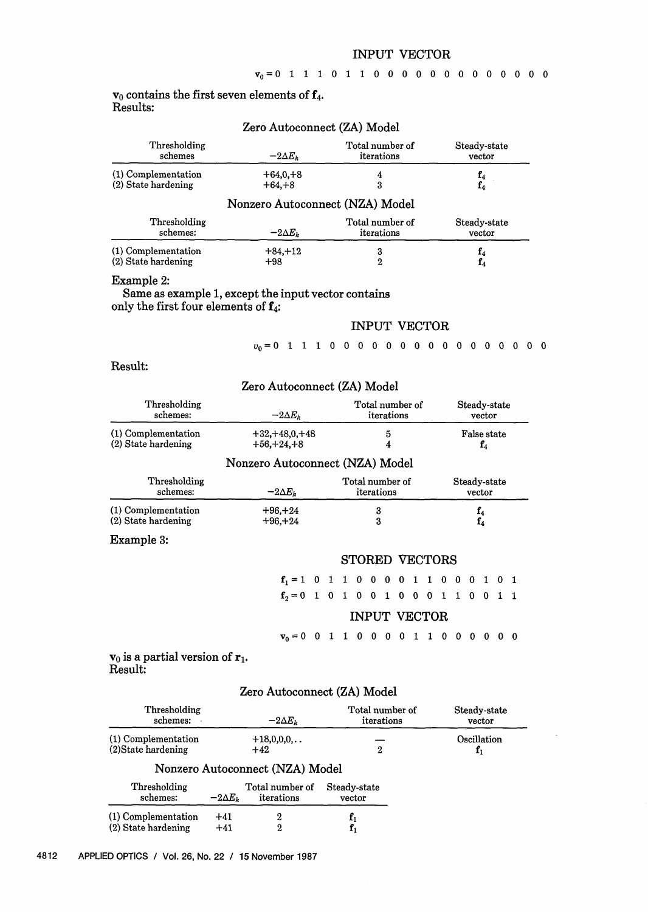# INPUT VECTOR

# $v_0$  contains the first seven elements of  $f_4$ . Results:

|                     | Zero Autoconnect (ZA) Model |                                 |                                  |  |
|---------------------|-----------------------------|---------------------------------|----------------------------------|--|
| Thresholding        | $-2\Delta E_k$              | Total number of                 | Steady-state                     |  |
| schemes             |                             | iterations                      | vector                           |  |
| (1) Complementation | $+64,0,+8$                  | 4                               | f <sub>4</sub><br>f <sub>4</sub> |  |
| (2) State hardening | $+64. +8$                   | 3                               |                                  |  |
|                     |                             | Nonzero Autoconnect (NZA) Model |                                  |  |
| Thresholding        | $-2\Delta E_k$              | Total number of                 | Steady-state                     |  |
| schemes:            |                             | iterations                      | vector                           |  |
| (1) Complementation | $+84, +12$                  | 3                               | ${\bf f}_4$                      |  |
| (2) State hardening | $+98$                       | 2                               | f4                               |  |

# Example 2:

# Same as example **1,** except the input vector contains only the first four elements of  $f_4$ :

# INPUT VECTOR

# Result:

|                                            | Zero Autoconnect (ZA) Model          |                               |                                                       |  |
|--------------------------------------------|--------------------------------------|-------------------------------|-------------------------------------------------------|--|
| Thresholding<br>schemes:                   | $-2\Delta E_k$                       | Total number of<br>iterations | Steady-state<br>vector<br><b>False state</b><br>$f_4$ |  |
| (1) Complementation<br>(2) State hardening | $+32, +48, 0, +48$<br>$+56, +24, +8$ | 5<br>4                        |                                                       |  |
|                                            | Nonzero Autoconnect (NZA) Model      |                               |                                                       |  |
| Thresholding<br>schemes:                   | $-2\Delta E_k$                       | Total number of<br>iterations | Steady-state<br>vector                                |  |
| (1) Complementation<br>(2) State hardening | $+96, +24$<br>$+96. +24$             | 3<br>3                        | $\mathbf{f}_4$<br>$\mathbf{f}_4$                      |  |
| ___                                        |                                      |                               |                                                       |  |

# Example **3:**

#### STORED VECTORS

 $f_2 = 0$  1 0 1 0 0 1 0 0 0 1 1 0 0 1 1

# INPUT VECTOR

 $v_0 = 0$  0 1 1 0 0 0 0 1 1 0 0 0 0 0 0

# $\mathbf{v}_0$  is a partial version of  $\mathbf{r}_1$ . Result:

# Zero Autoconnect (ZA) Model

| Thresholding<br>schemes:                   |                | $-2\Delta E_k$                  | Total number of<br>iterations | Steady-state<br>vector |
|--------------------------------------------|----------------|---------------------------------|-------------------------------|------------------------|
| (1) Complementation<br>(2) State hardening |                | $+18,0,0,0,$<br>$+42$           | $\boldsymbol{2}$              | Oscillation<br>$f_1$   |
|                                            |                | Nonzero Autoconnect (NZA) Model |                               |                        |
| Thresholding<br>schemes:                   | $-2\Delta E_k$ | Total number of<br>iterations   | Steady-state<br>vector        |                        |
| (1) Complementation<br>(2) State hardening | $+41$<br>$+41$ | 2<br>2                          | ${\bf f}_1$                   |                        |